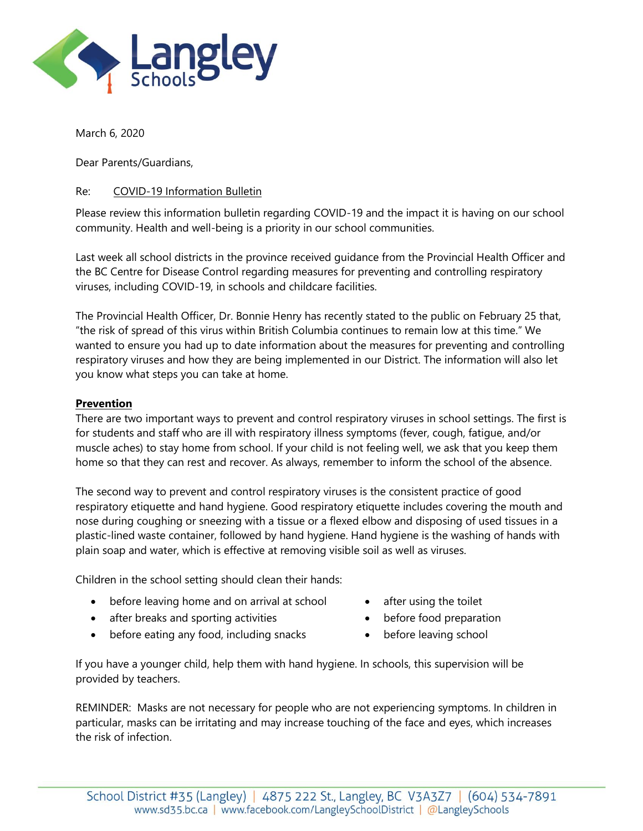

March 6, 2020

Dear Parents/Guardians,

# Re: COVID-19 Information Bulletin

Please review this information bulletin regarding COVID-19 and the impact it is having on our school community. Health and well-being is a priority in our school communities.

Last week all school districts in the province received guidance from the Provincial Health Officer and the BC Centre for Disease Control regarding measures for preventing and controlling respiratory viruses, including COVID-19, in schools and childcare facilities.

The Provincial Health Officer, Dr. Bonnie Henry has recently stated to the public on February 25 that, "the risk of spread of this virus within British Columbia continues to remain low at this time." We wanted to ensure you had up to date information about the measures for preventing and controlling respiratory viruses and how they are being implemented in our District. The information will also let you know what steps you can take at home.

## **Prevention**

There are two important ways to prevent and control respiratory viruses in school settings. The first is for students and staff who are ill with respiratory illness symptoms (fever, cough, fatigue, and/or muscle aches) to stay home from school. If your child is not feeling well, we ask that you keep them home so that they can rest and recover. As always, remember to inform the school of the absence.

The second way to prevent and control respiratory viruses is the consistent practice of good respiratory etiquette and hand hygiene. Good respiratory etiquette includes covering the mouth and nose during coughing or sneezing with a tissue or a flexed elbow and disposing of used tissues in a plastic-lined waste container, followed by hand hygiene. Hand hygiene is the washing of hands with plain soap and water, which is effective at removing visible soil as well as viruses.

Children in the school setting should clean their hands:

- before leaving home and on arrival at school
- after breaks and sporting activities
- before eating any food, including snacks
- after using the toilet
- before food preparation
- before leaving school

If you have a younger child, help them with hand hygiene. In schools, this supervision will be provided by teachers.

REMINDER: Masks are not necessary for people who are not experiencing symptoms. In children in particular, masks can be irritating and may increase touching of the face and eyes, which increases the risk of infection.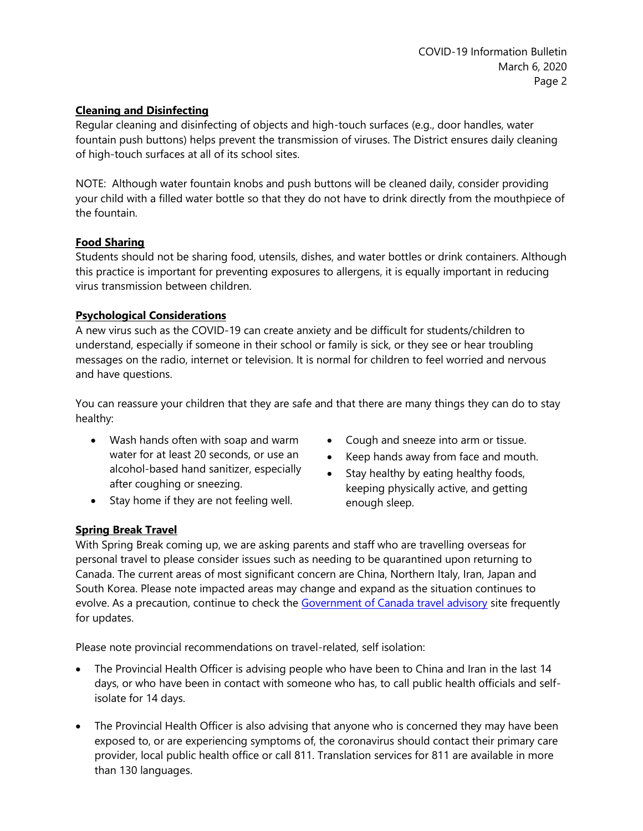# **Cleaning and Disinfecting**

Regular cleaning and disinfecting of objects and high-touch surfaces (e.g., door handles, water fountain push buttons) helps prevent the transmission of viruses. The District ensures daily cleaning of high-touch surfaces at all of its school sites.

NOTE: Although water fountain knobs and push buttons will be cleaned daily, consider providing your child with a filled water bottle so that they do not have to drink directly from the mouthpiece of the fountain.

## **Food Sharing**

Students should not be sharing food, utensils, dishes, and water bottles or drink containers. Although this practice is important for preventing exposures to allergens, it is equally important in reducing virus transmission between children.

### **Psychological Considerations**

A new virus such as the COVID-19 can create anxiety and be difficult for students/children to understand, especially if someone in their school or family is sick, or they see or hear troubling messages on the radio, internet or television. It is normal for children to feel worried and nervous and have questions.

You can reassure your children that they are safe and that there are many things they can do to stay healthy:

- Wash hands often with soap and warm water for at least 20 seconds, or use an alcohol-based hand sanitizer, especially after coughing or sneezing.
- Stay home if they are not feeling well.
- Cough and sneeze into arm or tissue.
- Keep hands away from face and mouth.
- Stay healthy by eating healthy foods, keeping physically active, and getting enough sleep.

## **Spring Break Travel**

With Spring Break coming up, we are asking parents and staff who are travelling overseas for personal travel to please consider issues such as needing to be quarantined upon returning to Canada. The current areas of most significant concern are China, Northern Italy, Iran, Japan and South Korea. Please note impacted areas may change and expand as the situation continues to evolve. As a precaution, continue to check the [Government of Canada travel advisory](https://travel.gc.ca/travelling/health-safety/travel-health-notices) site frequently for updates.

Please note provincial recommendations on travel-related, self isolation:

- The Provincial Health Officer is advising people who have been to China and Iran in the last 14 days, or who have been in contact with someone who has, to call public health officials and selfisolate for 14 days.
- The Provincial Health Officer is also advising that anyone who is concerned they may have been exposed to, or are experiencing symptoms of, the coronavirus should contact their primary care provider, local public health office or call 811. Translation services for 811 are available in more than 130 languages.